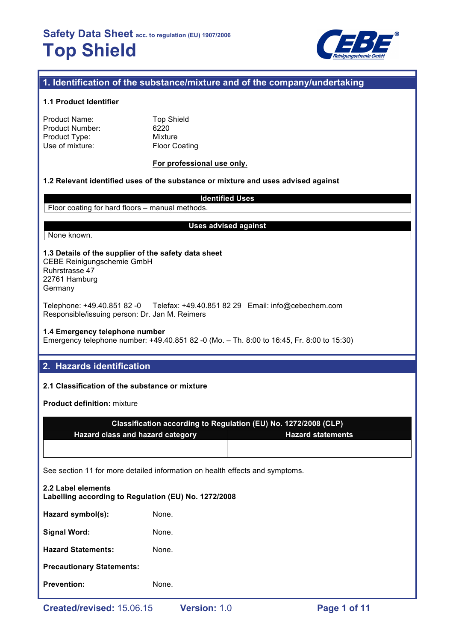

## **1. Identification of the substance/mixture and of the company/undertaking**

#### **1.1 Product Identifier**

| Product Name:   |  |
|-----------------|--|
| Product Number: |  |
| Product Type:   |  |
| Use of mixture: |  |

**Top Shield**  $6220$ **Mixture** Floor Coating

#### **For professional use only.**

### **1.2 Relevant identified uses of the substance or mixture and uses advised against**

**Identified Uses** Floor coating for hard floors – manual methods.

None known.

#### **Uses advised against**

#### **1.3 Details of the supplier of the safety data sheet** CEBE Reinigungschemie GmbH

Ruhrstrasse 47 22761 Hamburg Germany

Telephone: +49.40.851 82 -0 Telefax: +49.40.851 82 29 Email: info@cebechem.com Responsible/issuing person: Dr. Jan M. Reimers

### **1.4 Emergency telephone number**

Emergency telephone number: +49.40.851 82 -0 (Mo. – Th. 8:00 to 16:45, Fr. 8:00 to 15:30)

## **2. Hazards identification**

#### **2.1 Classification of the substance or mixture**

**Product definition:** mixture

| Classification according to Regulation (EU) No. 1272/2008 (CLP) |                          |  |  |  |
|-----------------------------------------------------------------|--------------------------|--|--|--|
| <b>Hazard class and hazard category</b>                         | <b>Hazard statements</b> |  |  |  |
|                                                                 |                          |  |  |  |

See section 11 for more detailed information on health effects and symptoms.

| 2.2 Label elements<br>Labelling according to Regulation (EU) No. 1272/2008 |       |  |  |  |
|----------------------------------------------------------------------------|-------|--|--|--|
| Hazard symbol(s):                                                          | None. |  |  |  |
| <b>Signal Word:</b>                                                        | None. |  |  |  |
| <b>Hazard Statements:</b>                                                  | None. |  |  |  |
| <b>Precautionary Statements:</b>                                           |       |  |  |  |
| <b>Prevention:</b>                                                         | None. |  |  |  |
|                                                                            |       |  |  |  |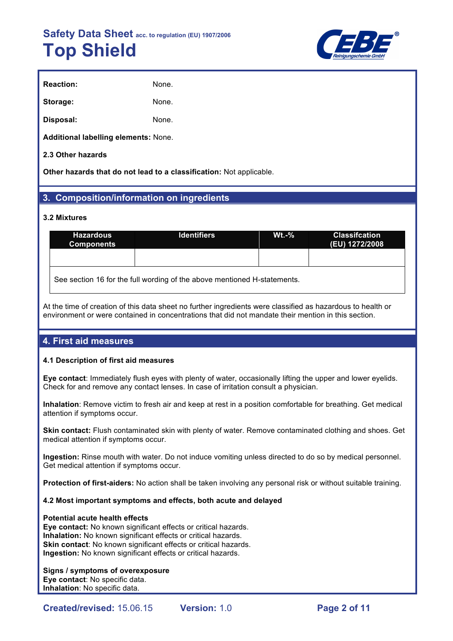

| <b>Reaction:</b> | None. |
|------------------|-------|
| Storage:         | None. |
| Disposal:        | None. |

**Additional labelling elements:** None.

### **2.3 Other hazards**

**Other hazards that do not lead to a classification:** Not applicable.

## **3. Composition/information on ingredients**

#### **3.2 Mixtures**

| <b>Hazardous</b><br><b>Components</b>                                    | <b>Identifiers</b> | $Wt - %$ | <b>Classifcation</b><br>(EU) 1272/2008 |  |  |
|--------------------------------------------------------------------------|--------------------|----------|----------------------------------------|--|--|
|                                                                          |                    |          |                                        |  |  |
| See section 16 for the full wording of the above mentioned H-statements. |                    |          |                                        |  |  |

At the time of creation of this data sheet no further ingredients were classified as hazardous to health or environment or were contained in concentrations that did not mandate their mention in this section.

## **4. First aid measures**

#### **4.1 Description of first aid measures**

**Eye contact**: Immediately flush eyes with plenty of water, occasionally lifting the upper and lower eyelids. Check for and remove any contact lenses. In case of irritation consult a physician.

**Inhalation**: Remove victim to fresh air and keep at rest in a position comfortable for breathing. Get medical attention if symptoms occur.

**Skin contact:** Flush contaminated skin with plenty of water. Remove contaminated clothing and shoes. Get medical attention if symptoms occur.

**Ingestion:** Rinse mouth with water. Do not induce vomiting unless directed to do so by medical personnel. Get medical attention if symptoms occur.

**Protection of first-aiders:** No action shall be taken involving any personal risk or without suitable training.

#### **4.2 Most important symptoms and effects, both acute and delayed**

#### **Potential acute health effects**

**Eye contact:** No known significant effects or critical hazards. **Inhalation:** No known significant effects or critical hazards. **Skin contact:** No known significant effects or critical hazards. **Ingestion:** No known significant effects or critical hazards.

#### **Signs / symptoms of overexposure**

**Eye contact**: No specific data. **Inhalation**: No specific data.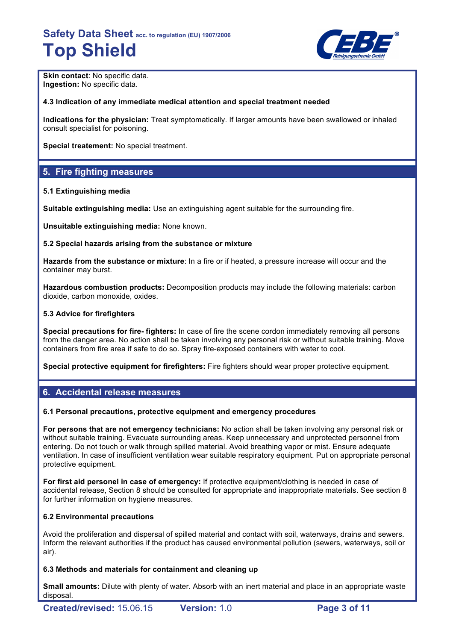

**Skin contact: No specific data. Ingestion:** No specific data.

#### **4.3 Indication of any immediate medical attention and special treatment needed**

**Indications for the physician:** Treat symptomatically. If larger amounts have been swallowed or inhaled consult specialist for poisoning.

**Special treatement:** No special treatment.

## **5. Fire fighting measures**

#### **5.1 Extinguishing media**

**Suitable extinguishing media:** Use an extinguishing agent suitable for the surrounding fire.

**Unsuitable extinguishing media:** None known.

#### **5.2 Special hazards arising from the substance or mixture**

**Hazards from the substance or mixture**: In a fire or if heated, a pressure increase will occur and the container may burst.

**Hazardous combustion products:** Decomposition products may include the following materials: carbon dioxide, carbon monoxide, oxides.

#### **5.3 Advice for firefighters**

**Special precautions for fire- fighters:** In case of fire the scene cordon immediately removing all persons from the danger area. No action shall be taken involving any personal risk or without suitable training. Move containers from fire area if safe to do so. Spray fire-exposed containers with water to cool.

**Special protective equipment for firefighters:** Fire fighters should wear proper protective equipment.

## **6. Accidental release measures**

#### **6.1 Personal precautions, protective equipment and emergency procedures**

**For persons that are not emergency technicians:** No action shall be taken involving any personal risk or without suitable training. Evacuate surrounding areas. Keep unnecessary and unprotected personnel from entering. Do not touch or walk through spilled material. Avoid breathing vapor or mist. Ensure adequate ventilation. In case of insufficient ventilation wear suitable respiratory equipment. Put on appropriate personal protective equipment.

**For first aid personel in case of emergency:** If protective equipment/clothing is needed in case of accidental release, Section 8 should be consulted for appropriate and inappropriate materials. See section 8 for further information on hygiene measures.

#### **6.2 Environmental precautions**

Avoid the proliferation and dispersal of spilled material and contact with soil, waterways, drains and sewers. Inform the relevant authorities if the product has caused environmental pollution (sewers, waterways, soil or air).

#### **6.3 Methods and materials for containment and cleaning up**

**Small amounts:** Dilute with plenty of water. Absorb with an inert material and place in an appropriate waste disposal.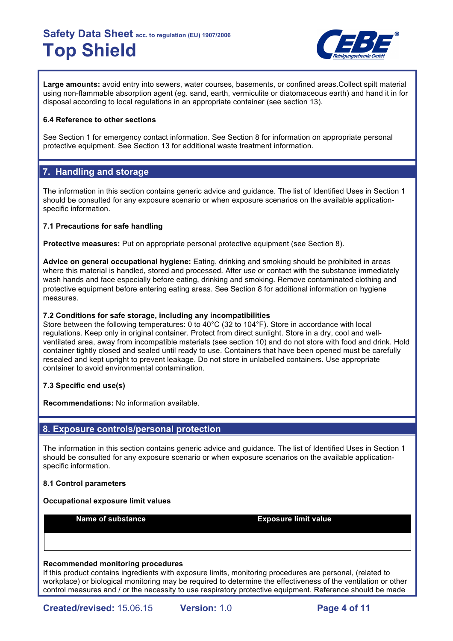

**Large amounts:** avoid entry into sewers, water courses, basements, or confined areas.Collect spilt material using non-flammable absorption agent (eg. sand, earth, vermiculite or diatomaceous earth) and hand it in for disposal according to local regulations in an appropriate container (see section 13).

#### **6.4 Reference to other sections**

See Section 1 for emergency contact information. See Section 8 for information on appropriate personal protective equipment. See Section 13 for additional waste treatment information.

## **7. Handling and storage**

The information in this section contains generic advice and guidance. The list of Identified Uses in Section 1 should be consulted for any exposure scenario or when exposure scenarios on the available applicationspecific information.

### **7.1 Precautions for safe handling**

**Protective measures:** Put on appropriate personal protective equipment (see Section 8).

**Advice on general occupational hygiene:** Eating, drinking and smoking should be prohibited in areas where this material is handled, stored and processed. After use or contact with the substance immediately wash hands and face especially before eating, drinking and smoking. Remove contaminated clothing and protective equipment before entering eating areas. See Section 8 for additional information on hygiene measures.

#### **7.2 Conditions for safe storage, including any incompatibilities**

Store between the following temperatures: 0 to 40°C (32 to 104°F). Store in accordance with local regulations. Keep only in original container. Protect from direct sunlight. Store in a dry, cool and wellventilated area, away from incompatible materials (see section 10) and do not store with food and drink. Hold container tightly closed and sealed until ready to use. Containers that have been opened must be carefully resealed and kept upright to prevent leakage. Do not store in unlabelled containers. Use appropriate container to avoid environmental contamination.

## **7.3 Specific end use(s)**

**Recommendations:** No information available.

## **8. Exposure controls/personal protection**

The information in this section contains generic advice and guidance. The list of Identified Uses in Section 1 should be consulted for any exposure scenario or when exposure scenarios on the available applicationspecific information.

#### **8.1 Control parameters**

#### **Occupational exposure limit values**

**Name of substance <b>Exposure limit value** 

#### **Recommended monitoring procedures**

If this product contains ingredients with exposure limits, monitoring procedures are personal, (related to workplace) or biological monitoring may be required to determine the effectiveness of the ventilation or other control measures and / or the necessity to use respiratory protective equipment. Reference should be made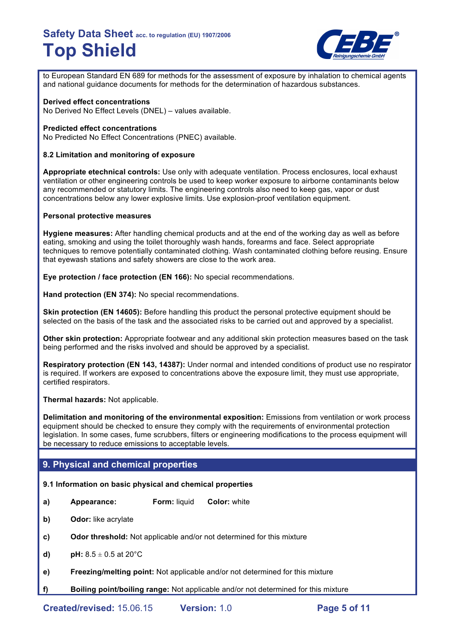

to European Standard EN 689 for methods for the assessment of exposure by inhalation to chemical agents and national guidance documents for methods for the determination of hazardous substances.

#### **Derived effect concentrations**

No Derived No Effect Levels (DNEL) – values available.

#### **Predicted effect concentrations**

No Predicted No Effect Concentrations (PNEC) available.

#### **8.2 Limitation and monitoring of exposure**

**Appropriate etechnical controls:** Use only with adequate ventilation. Process enclosures, local exhaust ventilation or other engineering controls be used to keep worker exposure to airborne contaminants below any recommended or statutory limits. The engineering controls also need to keep gas, vapor or dust concentrations below any lower explosive limits. Use explosion-proof ventilation equipment.

#### **Personal protective measures**

**Hygiene measures:** After handling chemical products and at the end of the working day as well as before eating, smoking and using the toilet thoroughly wash hands, forearms and face. Select appropriate techniques to remove potentially contaminated clothing. Wash contaminated clothing before reusing. Ensure that eyewash stations and safety showers are close to the work area.

**Eye protection / face protection (EN 166):** No special recommendations.

**Hand protection (EN 374):** No special recommendations.

**Skin protection (EN 14605):** Before handling this product the personal protective equipment should be selected on the basis of the task and the associated risks to be carried out and approved by a specialist.

**Other skin protection:** Appropriate footwear and any additional skin protection measures based on the task being performed and the risks involved and should be approved by a specialist.

**Respiratory protection (EN 143, 14387):** Under normal and intended conditions of product use no respirator is required. If workers are exposed to concentrations above the exposure limit, they must use appropriate, certified respirators.

**Thermal hazards:** Not applicable.

**Delimitation and monitoring of the environmental exposition:** Emissions from ventilation or work process equipment should be checked to ensure they comply with the requirements of environmental protection legislation. In some cases, fume scrubbers, filters or engineering modifications to the process equipment will be necessary to reduce emissions to acceptable levels.

## **9. Physical and chemical properties**

#### **9.1 Information on basic physical and chemical properties**

- **a) Appearance: Form:** liquid **Color:** white
- **b) Odor:** like acrylate
- **c) Odor threshold:** Not applicable and/or not determined for this mixture
- **d) pH:**  $8.5 \pm 0.5$  at 20 $^{\circ}$ C
- **e) Freezing/melting point:** Not applicable and/or not determined for this mixture
- **f) Boiling point/boiling range:** Not applicable and/or not determined for this mixture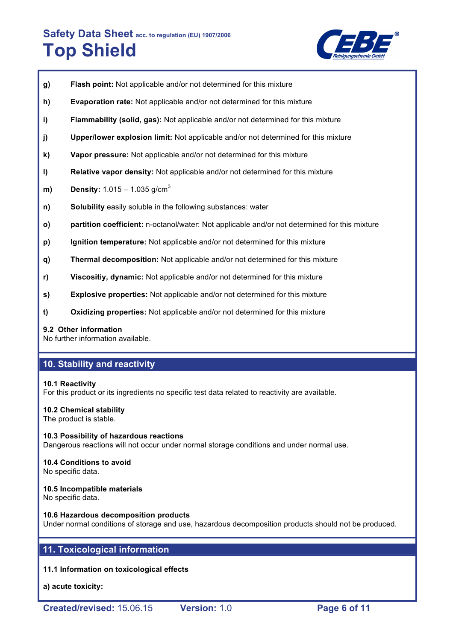

- **g) Flash point:** Not applicable and/or not determined for this mixture
- **h) Evaporation rate:** Not applicable and/or not determined for this mixture
- **i) Flammability (solid, gas):** Not applicable and/or not determined for this mixture
- **j) Upper/lower explosion limit:** Not applicable and/or not determined for this mixture
- **k) Vapor pressure:** Not applicable and/or not determined for this mixture
- **l) Relative vapor density:** Not applicable and/or not determined for this mixture
- **m) Density:** 1.015 1.035 g/cm<sup>3</sup>
- **n) Solubility** easily soluble in the following substances: water
- **o) partition coefficient:** n-octanol/water: Not applicable and/or not determined for this mixture
- **p) Ignition temperature:** Not applicable and/or not determined for this mixture
- **q) Thermal decomposition:** Not applicable and/or not determined for this mixture
- **r) Viscositiy, dynamic:** Not applicable and/or not determined for this mixture
- **s) Explosive properties:** Not applicable and/or not determined for this mixture
- **t) Oxidizing properties:** Not applicable and/or not determined for this mixture

#### **9.2 Other information**

No further information available.

## **10. Stability and reactivity**

#### **10.1 Reactivity**

For this product or its ingredients no specific test data related to reactivity are available.

#### **10.2 Chemical stability**

The product is stable.

**10.3 Possibility of hazardous reactions** Dangerous reactions will not occur under normal storage conditions and under normal use.

## **10.4 Conditions to avoid**

No specific data.

#### **10.5 Incompatible materials**

No specific data.

#### **10.6 Hazardous decomposition products**

Under normal conditions of storage and use, hazardous decomposition products should not be produced.

## **11. Toxicological information**

#### **11.1 Information on toxicological effects**

**a) acute toxicity:**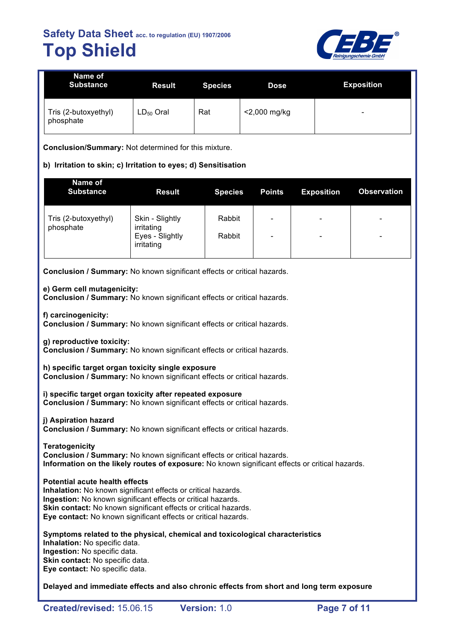

| Name of<br><b>Substance</b>       | <b>Result</b>  | <b>Species</b> | <b>Dose</b>  | <b>Exposition</b>        |
|-----------------------------------|----------------|----------------|--------------|--------------------------|
| Tris (2-butoxyethyl)<br>phosphate | $LD_{50}$ Oral | Rat            | <2,000 mg/kg | $\overline{\phantom{0}}$ |

**Conclusion/Summary:** Not determined for this mixture.

### **b) Irritation to skin; c) Irritation to eyes; d) Sensitisation**

| Name of<br><b>Substance</b>       | <b>Result</b>                 | <b>Species</b> | <b>Points</b>            | <b>Exposition</b>        | <b>Observation</b>       |
|-----------------------------------|-------------------------------|----------------|--------------------------|--------------------------|--------------------------|
| Tris (2-butoxyethyl)<br>phosphate | Skin - Slightly<br>irritating | Rabbit         | $\overline{\phantom{0}}$ | $\overline{\phantom{0}}$ | $\overline{\phantom{0}}$ |
|                                   | Eyes - Slightly<br>irritating | Rabbit         | $\overline{\phantom{0}}$ | $\overline{\phantom{0}}$ | $\overline{\phantom{a}}$ |

**Conclusion / Summary:** No known significant effects or critical hazards.

#### **e) Germ cell mutagenicity:**

**Conclusion / Summary:** No known significant effects or critical hazards.

**f) carcinogenicity:**

**Conclusion / Summary:** No known significant effects or critical hazards.

**g) reproductive toxicity:**

**Conclusion / Summary:** No known significant effects or critical hazards.

**h) specific target organ toxicity single exposure**

**Conclusion / Summary:** No known significant effects or critical hazards.

**i) specific target organ toxicity after repeated exposure Conclusion / Summary:** No known significant effects or critical hazards.

**j) Aspiration hazard**

**Conclusion / Summary:** No known significant effects or critical hazards.

**Teratogenicity Conclusion / Summary:** No known significant effects or critical hazards. **Information on the likely routes of exposure:** No known significant effects or critical hazards.

#### **Potential acute health effects**

**Inhalation:** No known significant effects or critical hazards. **Ingestion:** No known significant effects or critical hazards. **Skin contact:** No known significant effects or critical hazards. **Eye contact:** No known significant effects or critical hazards.

**Symptoms related to the physical, chemical and toxicological characteristics Inhalation:** No specific data. **Ingestion:** No specific data. **Skin contact:** No specific data. **Eye contact:** No specific data.

**Delayed and immediate effects and also chronic effects from short and long term exposure**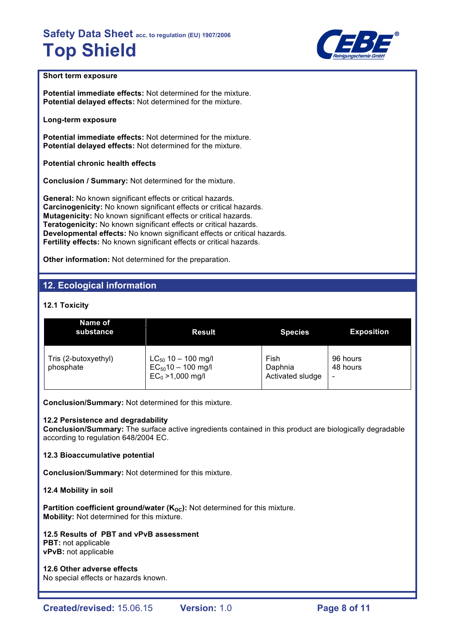

### **Short term exposure**

**Potential immediate effects:** Not determined for the mixture. **Potential delayed effects:** Not determined for the mixture.

**Long-term exposure**

**Potential immediate effects:** Not determined for the mixture. **Potential delayed effects:** Not determined for the mixture.

**Potential chronic health effects**

**Conclusion / Summary:** Not determined for the mixture.

**General:** No known significant effects or critical hazards. **Carcinogenicity:** No known significant effects or critical hazards. **Mutagenicity:** No known significant effects or critical hazards. **Teratogenicity:** No known significant effects or critical hazards. **Developmental effects:** No known significant effects or critical hazards. **Fertility effects:** No known significant effects or critical hazards.

**Other information:** Not determined for the preparation.

## **12. Ecological information**

## **12.1 Toxicity**

| Name of<br>substance              | <b>Result</b>                                                             | <b>Species</b>                      | <b>Exposition</b>    |
|-----------------------------------|---------------------------------------------------------------------------|-------------------------------------|----------------------|
| Tris (2-butoxyethyl)<br>phosphate | $LC_{50}$ 10 - 100 mg/l<br>$EC_{50}$ 10 - 100 mg/l<br>$EC_0 > 1,000$ mg/l | Fish<br>Daphnia<br>Activated sludge | 96 hours<br>48 hours |

**Conclusion/Summary:** Not determined for this mixture.

#### **12.2 Persistence and degradability**

**Conclusion/Summary:** The surface active ingredients contained in this product are biologically degradable according to regulation 648/2004 EC.

#### **12.3 Bioaccumulative potential**

**Conclusion/Summary:** Not determined for this mixture.

#### **12.4 Mobility in soil**

**Partition coefficient ground/water (K<sub>OC</sub>):** Not determined for this mixture. **Mobility:** Not determined for this mixture.

## **12.5 Results of PBT and vPvB assessment**

**PBT:** not applicable **vPvB:** not applicable

**12.6 Other adverse effects** No special effects or hazards known.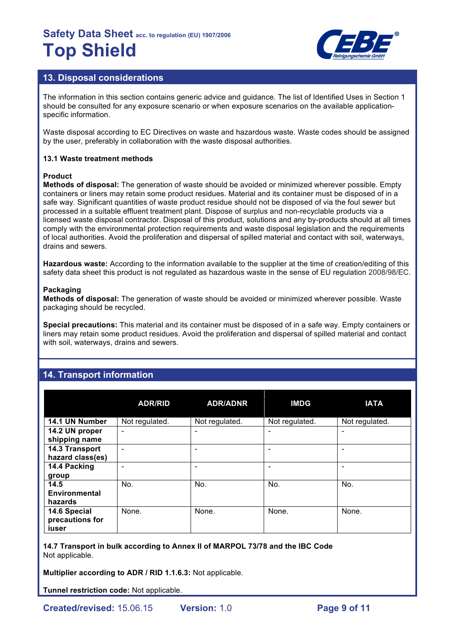

## **13. Disposal considerations**

The information in this section contains generic advice and guidance. The list of Identified Uses in Section 1 should be consulted for any exposure scenario or when exposure scenarios on the available applicationspecific information.

Waste disposal according to EC Directives on waste and hazardous waste. Waste codes should be assigned by the user, preferably in collaboration with the waste disposal authorities.

#### **13.1 Waste treatment methods**

#### **Product**

**Methods of disposal:** The generation of waste should be avoided or minimized wherever possible. Empty containers or liners may retain some product residues. Material and its container must be disposed of in a safe way. Significant quantities of waste product residue should not be disposed of via the foul sewer but processed in a suitable effluent treatment plant. Dispose of surplus and non-recyclable products via a licensed waste disposal contractor. Disposal of this product, solutions and any by-products should at all times comply with the environmental protection requirements and waste disposal legislation and the requirements of local authorities. Avoid the proliferation and dispersal of spilled material and contact with soil, waterways, drains and sewers.

**Hazardous waste:** According to the information available to the supplier at the time of creation/editing of this safety data sheet this product is not regulated as hazardous waste in the sense of EU regulation 2008/98/EC.

#### **Packaging**

**Methods of disposal:** The generation of waste should be avoided or minimized wherever possible. Waste packaging should be recycled.

**Special precautions:** This material and its container must be disposed of in a safe way. Empty containers or liners may retain some product residues. Avoid the proliferation and dispersal of spilled material and contact with soil, waterways, drains and sewers.

## **14. Transport information**

|                                          | <b>ADR/RID</b>               | <b>ADR/ADNR</b> | <b>IMDG</b>    | <b>IATA</b>    |
|------------------------------------------|------------------------------|-----------------|----------------|----------------|
| 14.1 UN Number                           | Not regulated.               | Not regulated.  | Not regulated. | Not regulated. |
| 14.2 UN proper<br>shipping name          | $\qquad \qquad \blacksquare$ |                 |                |                |
| 14.3 Transport<br>hazard class(es)       | ۰                            | -               |                |                |
| 14.4 Packing<br>group                    | ÷                            | -               |                |                |
| 14.5<br><b>Environmental</b><br>hazards  | No.                          | No.             | No.            | No.            |
| 14.6 Special<br>precautions for<br>iuser | None.                        | None.           | None.          | None.          |

**14.7 Transport in bulk according to Annex II of MARPOL 73/78 and the IBC Code** Not applicable.

**Multiplier according to ADR / RID 1.1.6.3:** Not applicable.

**Tunnel restriction code:** Not applicable.

**Created/revised:** 15.06.15 **Version:** 1.0 **Page 9 of 11**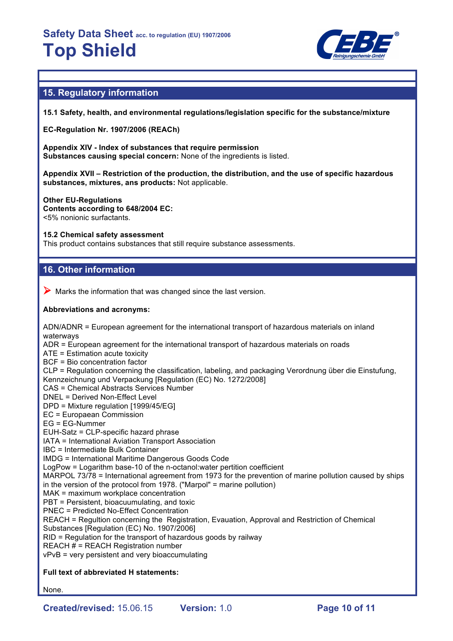

## **15. Regulatory information**

**15.1 Safety, health, and environmental regulations/legislation specific for the substance/mixture**

**EC-Regulation Nr. 1907/2006 (REACh)**

**Appendix XIV - Index of substances that require permission Substances causing special concern:** None of the ingredients is listed.

**Appendix XVII – Restriction of the production, the distribution, and the use of specific hazardous substances, mixtures, ans products:** Not applicable.

**Other EU-Regulations Contents according to 648/2004 EC:** <5% nonionic surfactants.

#### **15.2 Chemical safety assessment**

This product contains substances that still require substance assessments.

## **16. Other information**

 $\triangleright$  Marks the information that was changed since the last version.

#### **Abbreviations and acronyms:**

ADN/ADNR = European agreement for the international transport of hazardous materials on inland waterways ADR = European agreement for the international transport of hazardous materials on roads ATE = Estimation acute toxicity BCF = Bio concentration factor CLP = Regulation concerning the classification, labeling, and packaging Verordnung über die Einstufung, Kennzeichnung und Verpackung [Regulation (EC) No. 1272/2008] CAS = Chemical Abstracts Services Number DNEL = Derived Non-Effect Level DPD = Mixture regulation [1999/45/EG] EC = Europaean Commission EG = EG-Nummer EUH-Satz = CLP-specific hazard phrase IATA = International Aviation Transport Association IBC = Intermediate Bulk Container IMDG = International Maritime Dangerous Goods Code LogPow = Logarithm base-10 of the n-octanol:water pertition coefficient MARPOL 73/78 = International agreement from 1973 for the prevention of marine pollution caused by ships in the version of the protocol from 1978. ("Marpol" = marine pollution) MAK = maximum workplace concentration PBT = Persistent, bioacuumulating, and toxic PNEC = Predicted No-Effect Concentration REACH = Regultion concerning the Registration, Evauation, Approval and Restriction of Chemical Substances [Regulation (EC) No. 1907/2006] RID = Regulation for the transport of hazardous goods by railway REACH  $#$  = REACH Registration number vPvB = very persistent and very bioaccumulating

#### **Full text of abbreviated H statements:**

None.